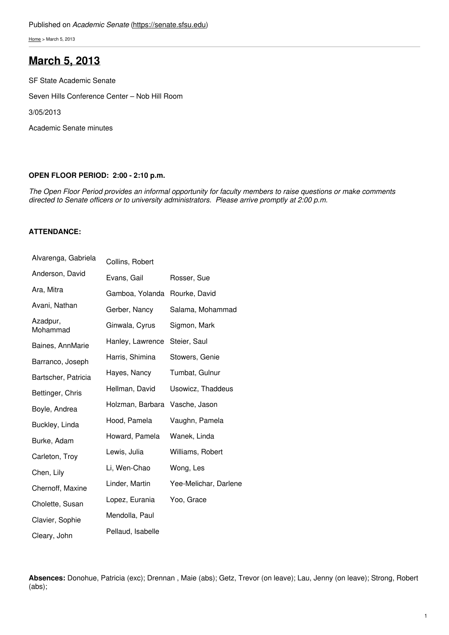[Home](https://senate.sfsu.edu/) > March 5, 2013

# **[March](https://senate.sfsu.edu/meeting-minutes-archive/march-5-2013) 5, 2013**

SF State Academic Senate

Seven Hills Conference Center – Nob Hill Room

3/05/2013

Academic Senate minutes

#### **OPEN FLOOR PERIOD: 2:00 - 2:10 p.m.**

The Open Floor Period provides an informal opportunity for faculty members to raise questions or make comments *directed to Senate officers or to university administrators. Please arrive promptly at 2:00 p.m.*

## **ATTENDANCE:**

| Alvarenga, Gabriela  | Collins, Robert   |                       |
|----------------------|-------------------|-----------------------|
| Anderson, David      | Evans, Gail       | Rosser, Sue           |
| Ara, Mitra           | Gamboa, Yolanda   | Rourke, David         |
| Avani, Nathan        | Gerber, Nancy     | Salama, Mohammad      |
| Azadpur,<br>Mohammad | Ginwala, Cyrus    | Sigmon, Mark          |
| Baines, AnnMarie     | Hanley, Lawrence  | Steier, Saul          |
| Barranco, Joseph     | Harris, Shimina   | Stowers, Genie        |
| Bartscher, Patricia  | Hayes, Nancy      | Tumbat, Gulnur        |
| Bettinger, Chris     | Hellman, David    | Usowicz, Thaddeus     |
| Boyle, Andrea        | Holzman, Barbara  | Vasche, Jason         |
| Buckley, Linda       | Hood, Pamela      | Vaughn, Pamela        |
| Burke, Adam          | Howard, Pamela    | Wanek, Linda          |
| Carleton, Troy       | Lewis, Julia      | Williams, Robert      |
| Chen, Lily           | Li, Wen-Chao      | Wong, Les             |
| Chernoff, Maxine     | Linder, Martin    | Yee-Melichar, Darlene |
| Cholette, Susan      | Lopez, Eurania    | Yoo, Grace            |
| Clavier, Sophie      | Mendolla, Paul    |                       |
| Cleary, John         | Pellaud, Isabelle |                       |

**Absences:** Donohue, Patricia (exc); Drennan , Maie (abs); Getz, Trevor (on leave); Lau, Jenny (on leave); Strong, Robert (abs);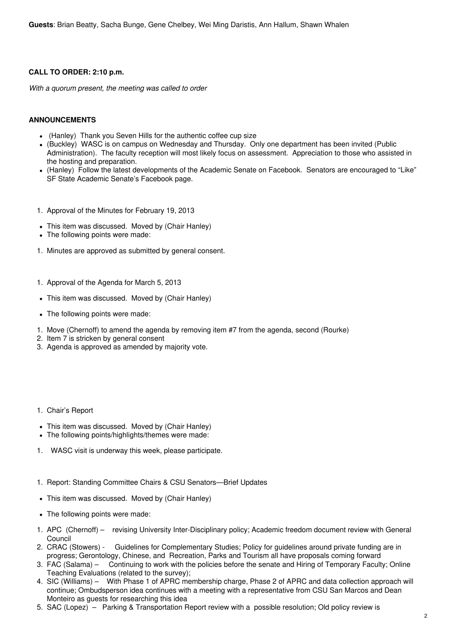## **CALL TO ORDER: 2:10 p.m.**

*With a quorum present, the meeting was called to order*

## **ANNOUNCEMENTS**

- (Hanley) Thank you Seven Hills for the authentic coffee cup size
- (Buckley) WASC is on campus on Wednesday and Thursday. Only one department has been invited (Public Administration). The faculty reception will most likely focus on assessment. Appreciation to those who assisted in the hosting and preparation.
- (Hanley) Follow the latest developments of the Academic Senate on Facebook. Senators are encouraged to "Like" SF State Academic Senate's Facebook page.
- 1. Approval of the Minutes for February 19, 2013
- This item was discussed. Moved by (Chair Hanley)
- The following points were made:
- 1. Minutes are approved as submitted by general consent.
- 1. Approval of the Agenda for March 5, 2013
- This item was discussed. Moved by (Chair Hanley)
- The following points were made:
- 1. Move (Chernoff) to amend the agenda by removing item #7 from the agenda, second (Rourke)
- 2. Item 7 is stricken by general consent
- 3. Agenda is approved as amended by majority vote.
- 1. Chair's Report
- This item was discussed. Moved by (Chair Hanley)
- The following points/highlights/themes were made:
- 1. WASC visit is underway this week, please participate.
- 1. Report: Standing Committee Chairs & CSU Senators—Brief Updates
- This item was discussed. Moved by (Chair Hanley)
- The following points were made:
- 1. APC (Chernoff) revising University Inter-Disciplinary policy; Academic freedom document review with General Council
- 2. CRAC (Stowers) Guidelines for Complementary Studies; Policy for guidelines around private funding are in progress; Gerontology, Chinese, and Recreation, Parks and Tourism all have proposals coming forward
- 3. FAC (Salama) Continuing to work with the policies before the senate and Hiring of Temporary Faculty; Online Teaching Evaluations (related to the survey);
- 4. SIC (Williams) With Phase 1 of APRC membership charge, Phase 2 of APRC and data collection approach will continue; Ombudsperson idea continues with a meeting with a representative from CSU San Marcos and Dean Monteiro as guests for researching this idea
- 5. SAC (Lopez) Parking & Transportation Report review with a possible resolution; Old policy review is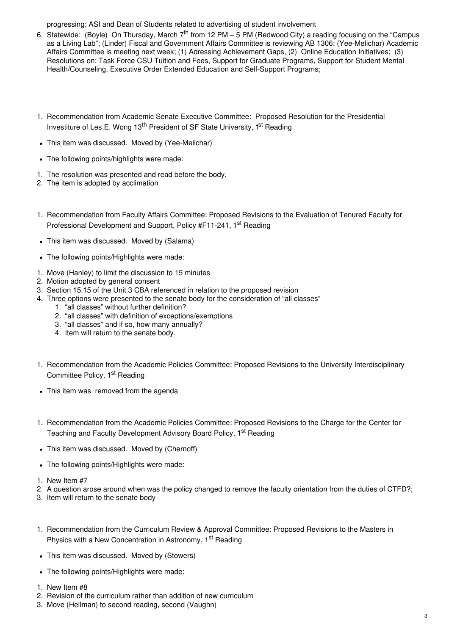progressing; ASI and Dean of Students related to advertising of student involvement

- 6. Statewide: (Boyle) On Thursday, March 7<sup>th</sup> from 12 PM 5 PM (Redwood City) a reading focusing on the "Campus as a Living Lab"; (Linder) Fiscal and Government Affairs Committee is reviewing AB 1306; (Yee-Melichar) Academic Affairs Committee is meeting next week; (1) Adressing Achievement Gaps, (2) Online Education Initiatives; (3) Resolutions on: Task Force CSU Tuition and Fees, Support for Graduate Programs, Support for Student Mental Health/Counseling, Executive Order Extended Education and Self-Support Programs;
- 1. Recommendation from Academic Senate Executive Committee: Proposed Resolution for the Presidential Investiture of Les E. Wong 13<sup>th</sup> President of SF State University, 1<sup>st</sup> Reading
- This item was discussed. Moved by (Yee-Melichar)
- The following points/highlights were made:
- 1. The resolution was presented and read before the body.
- 2. The item is adopted by acclimation
- 1. Recommendation from Faculty Affairs Committee: Proposed Revisions to the Evaluation of Tenured Faculty for Professional Development and Support, Policy #F11-241, 1<sup>st</sup> Reading
- This item was discussed. Moved by (Salama)
- The following points/Highlights were made:
- 1. Move (Hanley) to limit the discussion to 15 minutes
- 2. Motion adopted by general consent
- 3. Section 15.15 of the Unit 3 CBA referenced in relation to the proposed revision
- 4. Three options were presented to the senate body for the consideration of "all classes"
	- 1. "all classes" without further definition?
	- 2. "all classes" with definition of exceptions/exemptions
	- 3. "all classes" and if so, how many annually?
	- 4. Item will return to the senate body.
- 1. Recommendation from the Academic Policies Committee: Proposed Revisions to the University Interdisciplinary Committee Policy, 1<sup>st</sup> Reading
- This item was removed from the agenda
- 1. Recommendation from the Academic Policies Committee: Proposed Revisions to the Charge for the Center for Teaching and Faculty Development Advisory Board Policy, 1<sup>st</sup> Reading
- This item was discussed. Moved by (Chernoff)
- The following points/Highlights were made:
- 1. New Item #7
- 2. A question arose around when was the policy changed to remove the faculty orientation from the duties of CTFD?;
- 3. Item will return to the senate body
- 1. Recommendation from the Curriculum Review & Approval Committee: Proposed Revisions to the Masters in Physics with a New Concentration in Astronomy, 1<sup>st</sup> Reading
- This item was discussed. Moved by (Stowers)
- The following points/Highlights were made:
- 1. New Item #8
- 2. Revision of the curriculum rather than addition of new curriculum
- 3. Move (Hellman) to second reading, second (Vaughn)